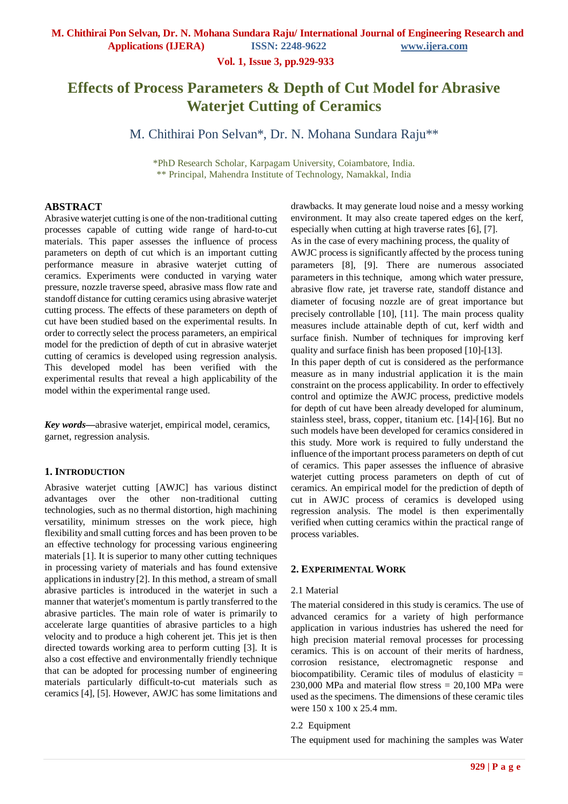**Applications (IJERA) ISSN: 2248-9622 www.ijera.com**

**Vol. 1, Issue 3, pp.929-933**

# **Effects of Process Parameters & Depth of Cut Model for Abrasive Waterjet Cutting of Ceramics**

M. Chithirai Pon Selvan\*, Dr. N. Mohana Sundara Raju\*\*

\*PhD Research Scholar, Karpagam University, Coiambatore, India. \*\* Principal, Mahendra Institute of Technology, Namakkal, India

## **ABSTRACT**

Abrasive waterjet cutting is one of the non-traditional cutting processes capable of cutting wide range of hard-to-cut materials. This paper assesses the influence of process parameters on depth of cut which is an important cutting performance measure in abrasive waterjet cutting of ceramics. Experiments were conducted in varying water pressure, nozzle traverse speed, abrasive mass flow rate and standoff distance for cutting ceramics using abrasive waterjet cutting process. The effects of these parameters on depth of cut have been studied based on the experimental results. In order to correctly select the process parameters, an empirical model for the prediction of depth of cut in abrasive waterjet cutting of ceramics is developed using regression analysis. This developed model has been verified with the experimental results that reveal a high applicability of the model within the experimental range used.

*Key words***—**abrasive waterjet, empirical model, ceramics, garnet, regression analysis.

#### **1. INTRODUCTION**

Abrasive waterjet cutting [AWJC] has various distinct advantages over the other non-traditional cutting technologies, such as no thermal distortion, high machining versatility, minimum stresses on the work piece, high flexibility and small cutting forces and has been proven to be an effective technology for processing various engineering materials [1]. It is superior to many other cutting techniques in processing variety of materials and has found extensive applications in industry [2]. In this method, a stream of small abrasive particles is introduced in the waterjet in such a manner that waterjet's momentum is partly transferred to the abrasive particles. The main role of water is primarily to accelerate large quantities of abrasive particles to a high velocity and to produce a high coherent jet. This jet is then directed towards working area to perform cutting [3]. It is also a cost effective and environmentally friendly technique that can be adopted for processing number of engineering materials particularly difficult-to-cut materials such as ceramics [4], [5]. However, AWJC has some limitations and

drawbacks. It may generate loud noise and a messy working environment. It may also create tapered edges on the kerf, especially when cutting at high traverse rates [6], [7]. As in the case of every machining process, the quality of AWJC process is significantly affected by the process tuning parameters [8], [9]. There are numerous associated parameters in this technique, among which water pressure, abrasive flow rate, jet traverse rate, standoff distance and diameter of focusing nozzle are of great importance but precisely controllable [10], [11]. The main process quality measures include attainable depth of cut, kerf width and surface finish. Number of techniques for improving kerf quality and surface finish has been proposed [10]-[13].

In this paper depth of cut is considered as the performance measure as in many industrial application it is the main constraint on the process applicability. In order to effectively control and optimize the AWJC process, predictive models for depth of cut have been already developed for aluminum, stainless steel, brass, copper, titanium etc. [14]-[16]. But no such models have been developed for ceramics considered in this study. More work is required to fully understand the influence of the important process parameters on depth of cut of ceramics. This paper assesses the influence of abrasive wateriet cutting process parameters on depth of cut of ceramics. An empirical model for the prediction of depth of cut in AWJC process of ceramics is developed using regression analysis. The model is then experimentally verified when cutting ceramics within the practical range of process variables.

#### **2. EXPERIMENTAL WORK**

#### 2.1 Material

The material considered in this study is ceramics. The use of advanced ceramics for a variety of high performance application in various industries has ushered the need for high precision material removal processes for processing ceramics. This is on account of their merits of hardness, corrosion resistance, electromagnetic response and biocompatibility. Ceramic tiles of modulus of elasticity =  $230,000$  MPa and material flow stress  $= 20,100$  MPa were used as the specimens. The dimensions of these ceramic tiles were 150 x 100 x 25.4 mm.

#### 2.2 Equipment

The equipment used for machining the samples was Water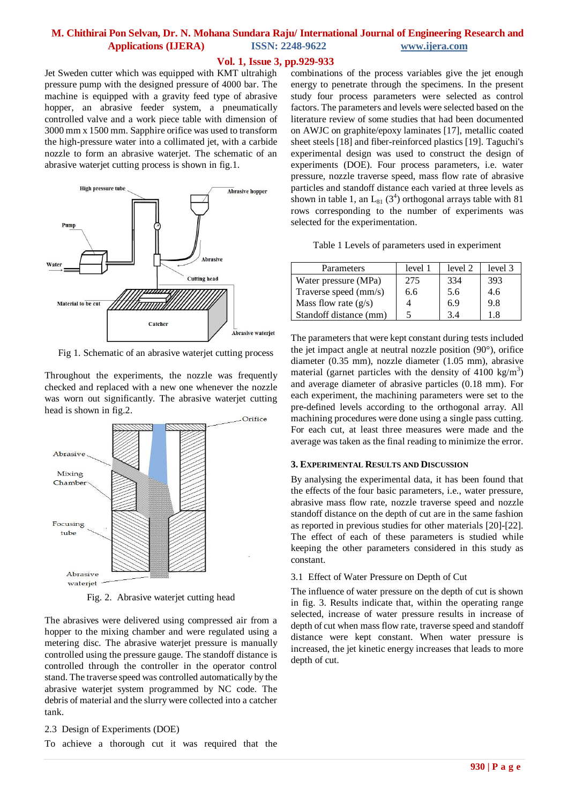## **Vol. 1, Issue 3, pp.929-933**

Jet Sweden cutter which was equipped with KMT ultrahigh pressure pump with the designed pressure of 4000 bar. The machine is equipped with a gravity feed type of abrasive hopper, an abrasive feeder system, a pneumatically controlled valve and a work piece table with dimension of 3000 mm x 1500 mm. Sapphire orifice was used to transform the high-pressure water into a collimated jet, with a carbide nozzle to form an abrasive waterjet. The schematic of an abrasive waterjet cutting process is shown in fig.1.



Fig 1. Schematic of an abrasive waterjet cutting process

Throughout the experiments, the nozzle was frequently checked and replaced with a new one whenever the nozzle was worn out significantly. The abrasive waterjet cutting head is shown in fig.2.



Fig. 2. Abrasive waterjet cutting head

The abrasives were delivered using compressed air from a hopper to the mixing chamber and were regulated using a metering disc. The abrasive waterjet pressure is manually controlled using the pressure gauge. The standoff distance is controlled through the controller in the operator control stand. The traverse speed was controlled automatically by the abrasive waterjet system programmed by NC code. The debris of material and the slurry were collected into a catcher tank.

2.3 Design of Experiments (DOE)

To achieve a thorough cut it was required that the

combinations of the process variables give the jet enough energy to penetrate through the specimens. In the present study four process parameters were selected as control factors. The parameters and levels were selected based on the literature review of some studies that had been documented on AWJC on graphite/epoxy laminates [17], metallic coated sheet steels [18] and fiber-reinforced plastics [19]. Taguchi's experimental design was used to construct the design of experiments (DOE). Four process parameters, i.e. water pressure, nozzle traverse speed, mass flow rate of abrasive particles and standoff distance each varied at three levels as shown in table 1, an  $L_{81}$  (3<sup>4</sup>) orthogonal arrays table with 81 rows corresponding to the number of experiments was selected for the experimentation.

Table 1 Levels of parameters used in experiment

| Parameters             | level 1 | level 2 | level 3 |
|------------------------|---------|---------|---------|
| Water pressure (MPa)   | 275     | 334     | 393     |
| Traverse speed (mm/s)  | 6.6     | 5.6     | 4.6     |
| Mass flow rate $(g/s)$ |         | 6.9     | 9.8     |
| Standoff distance (mm) |         | 34      | 18      |

The parameters that were kept constant during tests included the jet impact angle at neutral nozzle position (90°), orifice diameter (0.35 mm), nozzle diameter (1.05 mm), abrasive material (garnet particles with the density of  $4100 \text{ kg/m}^3$ ) and average diameter of abrasive particles (0.18 mm). For each experiment, the machining parameters were set to the pre-defined levels according to the orthogonal array. All machining procedures were done using a single pass cutting. For each cut, at least three measures were made and the average was taken as the final reading to minimize the error.

### **3. EXPERIMENTAL RESULTS AND DISCUSSION**

By analysing the experimental data, it has been found that the effects of the four basic parameters, i.e., water pressure, abrasive mass flow rate, nozzle traverse speed and nozzle standoff distance on the depth of cut are in the same fashion as reported in previous studies for other materials [20]-[22]. The effect of each of these parameters is studied while keeping the other parameters considered in this study as constant.

#### 3.1 Effect of Water Pressure on Depth of Cut

The influence of water pressure on the depth of cut is shown in fig. 3. Results indicate that, within the operating range selected, increase of water pressure results in increase of depth of cut when mass flow rate, traverse speed and standoff distance were kept constant. When water pressure is increased, the jet kinetic energy increases that leads to more depth of cut.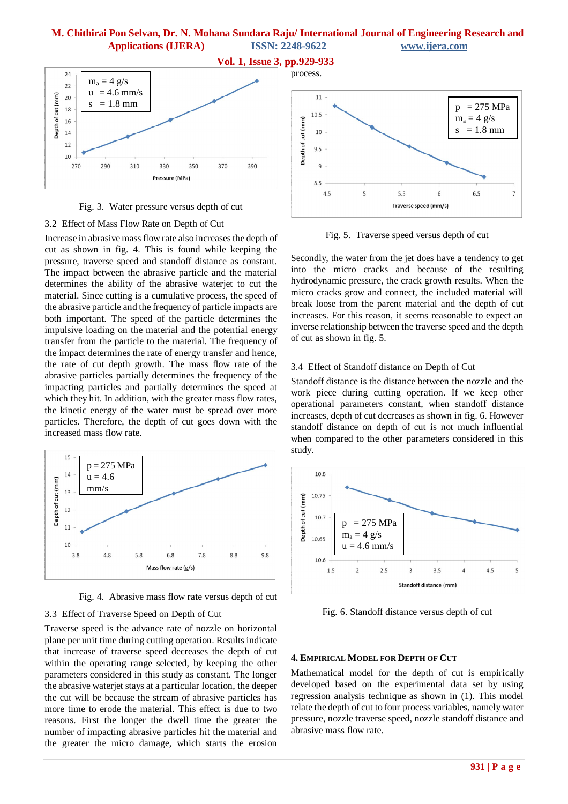

Fig. 3. Water pressure versus depth of cut

### 3.2 Effect of Mass Flow Rate on Depth of Cut

Increase in abrasive mass flow rate also increases the depth of cut as shown in fig. 4. This is found while keeping the pressure, traverse speed and standoff distance as constant. The impact between the abrasive particle and the material determines the ability of the abrasive waterjet to cut the material. Since cutting is a cumulative process, the speed of the abrasive particle and the frequency of particle impacts are both important. The speed of the particle determines the impulsive loading on the material and the potential energy transfer from the particle to the material. The frequency of the impact determines the rate of energy transfer and hence, the rate of cut depth growth. The mass flow rate of the abrasive particles partially determines the frequency of the impacting particles and partially determines the speed at which they hit. In addition, with the greater mass flow rates, the kinetic energy of the water must be spread over more particles. Therefore, the depth of cut goes down with the increased mass flow rate.



Fig. 4. Abrasive mass flow rate versus depth of cut

## 3.3 Effect of Traverse Speed on Depth of Cut

Traverse speed is the advance rate of nozzle on horizontal plane per unit time during cutting operation. Results indicate that increase of traverse speed decreases the depth of cut within the operating range selected, by keeping the other parameters considered in this study as constant. The longer the abrasive waterjet stays at a particular location, the deeper the cut will be because the stream of abrasive particles has more time to erode the material. This effect is due to two reasons. First the longer the dwell time the greater the number of impacting abrasive particles hit the material and the greater the micro damage, which starts the erosion



Fig. 5. Traverse speed versus depth of cut

Secondly, the water from the jet does have a tendency to get into the micro cracks and because of the resulting hydrodynamic pressure, the crack growth results. When the micro cracks grow and connect, the included material will break loose from the parent material and the depth of cut increases. For this reason, it seems reasonable to expect an inverse relationship between the traverse speed and the depth of cut as shown in fig. 5.

#### 3.4 Effect of Standoff distance on Depth of Cut

Standoff distance is the distance between the nozzle and the work piece during cutting operation. If we keep other operational parameters constant, when standoff distance increases, depth of cut decreases as shown in fig. 6. However standoff distance on depth of cut is not much influential when compared to the other parameters considered in this study.



Fig. 6. Standoff distance versus depth of cut

#### **4. EMPIRICAL MODEL FOR DEPTH OF CUT**

Mathematical model for the depth of cut is empirically developed based on the experimental data set by using regression analysis technique as shown in (1). This model relate the depth of cut to four process variables, namely water pressure, nozzle traverse speed, nozzle standoff distance and abrasive mass flow rate.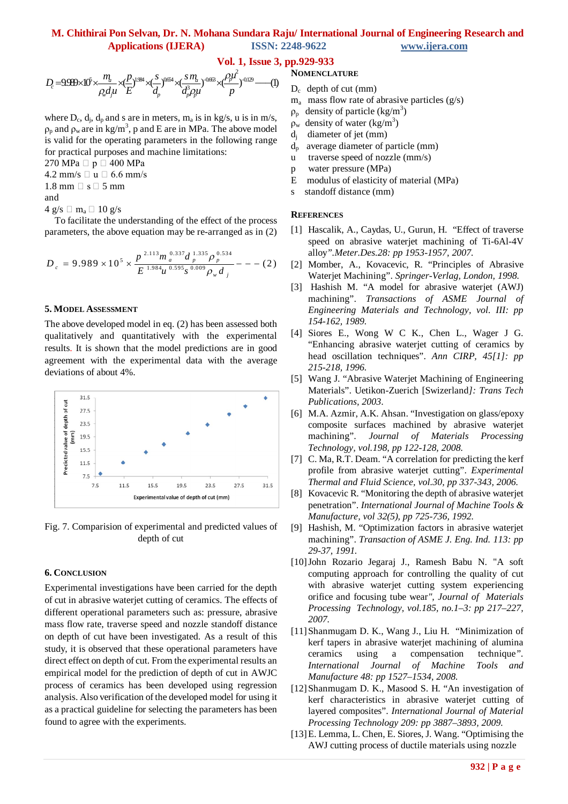## **Vol. 1, Issue 3, pp.929-933**

$$
D_c = 9.99 \times 10^5 \times \frac{m_a}{\rho_w d_y u} \times \frac{(P}{E})^{1.984} \times (\frac{s}{d_p})^{0.654} \times (\frac{s}{d_p^3 \rho_y u})^{0.663} \times (\frac{\rho_y u^2}{p})^{0.129} \text{---(1)}
$$

where  $D_c$ ,  $d_j$ ,  $d_p$  and s are in meters,  $m_a$  is in kg/s, u is in m/s,  $\rho_p$  and  $\rho_w$  are in kg/m<sup>3</sup>, p and E are in MPa. The above model is valid for the operating parameters in the following range for practical purposes and machine limitations:

270 MPa  $\Box$  p  $\Box$  400 MPa

 $4.2$  mm/s  $\Box$  u  $\Box$  6.6 mm/s

1.8 mm  $\Box$  s  $\Box$  5 mm

and

 $4 \text{ g/s} \square \text{ m}_a \square 10 \text{ g/s}$ 

 To facilitate the understanding of the effect of the process parameters, the above equation may be re-arranged as in (2)

$$
D_c = 9.989 \times 10^5 \times \frac{p^{2.113} m_a^{0.337} d_p^{1.335} \rho_p^{0.534}}{E^{1.984} u^{0.595} s^{0.009} \rho_w d_j} - - - (2)
$$

#### **5. MODEL ASSESSMENT**

The above developed model in eq. (2) has been assessed both qualitatively and quantitatively with the experimental results. It is shown that the model predictions are in good agreement with the experimental data with the average deviations of about 4%.



Fig. 7. Comparision of experimental and predicted values of depth of cut

#### **6. CONCLUSION**

Experimental investigations have been carried for the depth of cut in abrasive waterjet cutting of ceramics. The effects of different operational parameters such as: pressure, abrasive mass flow rate, traverse speed and nozzle standoff distance on depth of cut have been investigated. As a result of this study, it is observed that these operational parameters have direct effect on depth of cut. From the experimental results an empirical model for the prediction of depth of cut in AWJC process of ceramics has been developed using regression analysis. Also verification of the developed model for using it as a practical guideline for selecting the parameters has been found to agree with the experiments.

### **NOMENCLATURE**

- $D_c$  depth of cut (mm)
- $m<sub>a</sub>$  mass flow rate of abrasive particles (g/s)
- $\rho_p$  density of particle (kg/m<sup>3</sup>)
- $\rho_w$  density of water (kg/m<sup>3</sup>)
- $d_i$ diameter of jet (mm)
- $d_p$  average diameter of particle (mm)
- u traverse speed of nozzle (mm/s)
- p water pressure (MPa)
- E modulus of elasticity of material (MPa)
- s standoff distance (mm)

#### **REFERENCES**

- [1] Hascalik, A., Caydas, U., Gurun, H. "Effect of traverse speed on abrasive waterjet machining of Ti-6Al-4V alloy*".Meter.Des.28: pp 1953-1957, 2007.*
- [2] Momber, A., Kovacevic, R. "Principles of Abrasive Waterjet Machining". *Springer-Verlag, London, 1998.*
- [3] Hashish M. "A model for abrasive waterjet (AWJ) machining". *Transactions of ASME Journal of Engineering Materials and Technology, vol. III: pp 154-162, 1989.*
- [4] Siores E., Wong W C K., Chen L., Wager J G. "Enhancing abrasive waterjet cutting of ceramics by head oscillation techniques". *Ann CIRP, 45[1]: pp 215-218, 1996.*
- [5] Wang J. "Abrasive Waterjet Machining of Engineering Materials". Uetikon-Zuerich [Swizerland*]: Trans Tech Publications, 2003*.
- [6] M.A. Azmir, A.K. Ahsan. "Investigation on glass/epoxy composite surfaces machined by abrasive waterjet machining". *Journal of Materials Processing Technology, vol.198, pp 122-128, 2008.*
- [7] C. Ma, R.T. Deam. "A correlation for predicting the kerf profile from abrasive waterjet cutting". *Experimental Thermal and Fluid Science, vol.30, pp 337-343, 2006.*
- [8] Kovacevic R. "Monitoring the depth of abrasive waterjet penetration". *International Journal of Machine Tools & Manufacture, vol 32(5), pp 725-736, 1992.*
- [9] Hashish, M. "Optimization factors in abrasive waterjet machining". *Transaction of ASME J. Eng. Ind. 113: pp 29-37, 1991.*
- [10]John Rozario Jegaraj J., Ramesh Babu N. "A soft computing approach for controlling the quality of cut with abrasive waterjet cutting system experiencing orifice and focusing tube wear*", Journal of Materials Processing Technology, vol.185, no.1–3: pp 217–227, 2007.*
- [11]Shanmugam D. K., Wang J., Liu H. "Minimization of kerf tapers in abrasive waterjet machining of alumina ceramics using a compensation technique*". International Journal of Machine Tools and Manufacture 48: pp 1527–1534, 2008.*
- [12]Shanmugam D. K., Masood S. H. "An investigation of kerf characteristics in abrasive waterjet cutting of layered composites". *International Journal of Material Processing Technology 209: pp 3887–3893, 2009.*
- [13]E. Lemma, L. Chen, E. Siores, J. Wang. "Optimising the AWJ cutting process of ductile materials using nozzle